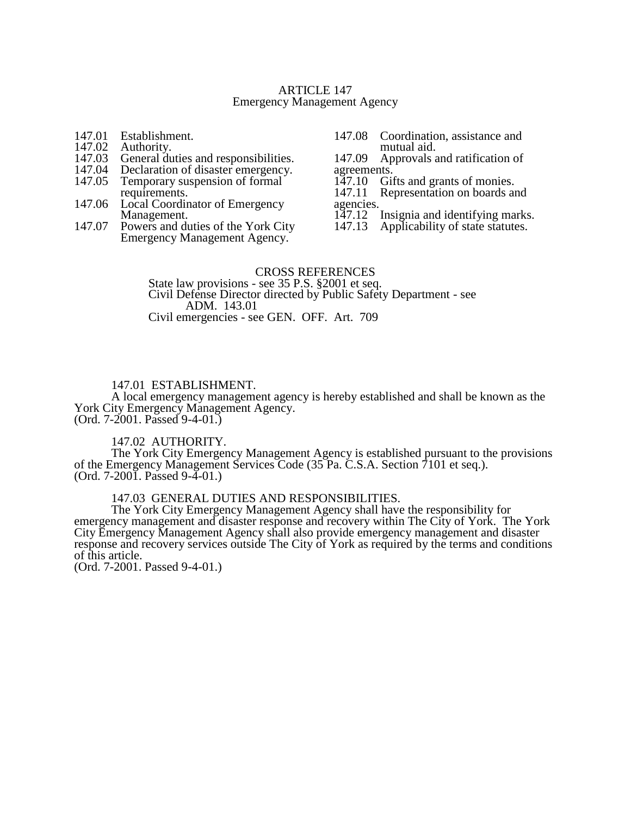#### ARTICLE 147 Emergency Management Agency

- 147.01 Establishment.<br>147.02 Authority.
- 147.02 Authority.<br>147.03 General du
- 147.03 General duties and responsibilities.<br>147.04 Declaration of disaster emergency.
- 147.04 Declaration of disaster emergency.<br>147.05 Temporary suspension of formal
- Temporary suspension of formal requirements.
- 147.06 Local Coordinator of Emergency Management.
- 147.07 Powers and duties of the York City Emergency Management Agency.
- 147.08 Coordination, assistance and mutual aid.

147.09 Approvals and ratification of agreements.<br>147.10 Gi

147.10 Gifts and grants of monies.<br>147.11 Representation on boards and

Representation on boards and agencies.<br>147.12

- 147.12 Insignia and identifying marks.<br>147.13 Applicability of state statures.
- Applicability of state statutes.

#### CROSS REFERENCES

State law provisions - see 35 P.S. §2001 et seq. Civil Defense Director directed by Public Safety Department - see ADM. 143.01 Civil emergencies - see GEN. OFF. Art. 709

#### 147.01 ESTABLISHMENT.

A local emergency management agency is hereby established and shall be known as the York City Emergency Management Agency.

(Ord. 7-2001. Passed 9-4-01.)

# 147.02 AUTHORITY.

The York City Emergency Management Agency is established pursuant to the provisions of the Emergency Management Services Code (35 Pa. C.S.A. Section 7101 et seq.). (Ord. 7-2001. Passed 9-4-01.)

#### 147.03 GENERAL DUTIES AND RESPONSIBILITIES.

The York City Emergency Management Agency shall have the responsibility for emergency management and disaster response and recovery within The City of York. The York City Emergency Management Agency shall also provide emergency management and disaster response and recovery services outside The City of York as required by the terms and conditions of this article.

(Ord. 7-2001. Passed 9-4-01.)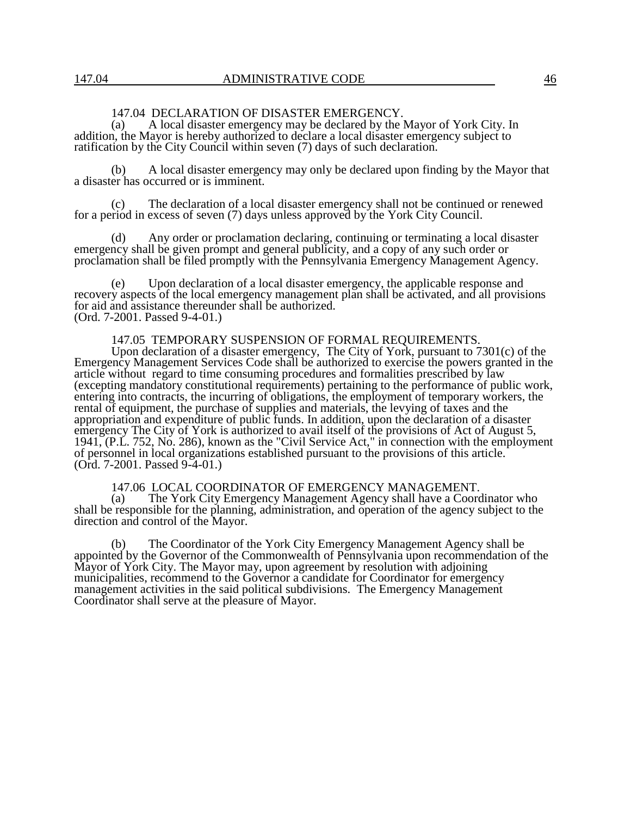# 147.04 DECLARATION OF DISASTER EMERGENCY.

(a) A local disaster emergency may be declared by the Mayor of York City. In addition, the Mayor is hereby authorized to declare a local disaster emergency subject to ratification by the City Council within seven (7) days of such declaration.

(b) A local disaster emergency may only be declared upon finding by the Mayor that a disaster has occurred or is imminent.

(c) The declaration of a local disaster emergency shall not be continued or renewed for a period in excess of seven (7) days unless approved by the York City Council.

(d) Any order or proclamation declaring, continuing or terminating a local disaster emergency shall be given prompt and general publicity, and a copy of any such order or proclamation shall be filed promptly with the Pennsylvania Emergency Management Agency.

(e) Upon declaration of a local disaster emergency, the applicable response and recovery aspects of the local emergency management plan shall be activated, and all provisions for aid and assistance thereunder shall be authorized. (Ord. 7-2001. Passed 9-4-01.)

#### 147.05 TEMPORARY SUSPENSION OF FORMAL REQUIREMENTS.

Upon declaration of a disaster emergency, The City of York, pursuant to 7301(c) of the Emergency Management Services Code shall be authorized to exercise the powers granted in the article without regard to time consuming procedures and formalities prescribed by law (excepting mandatory constitutional requirements) pertaining to the performance of public work, entering into contracts, the incurring of obligations, the employment of temporary workers, the rental of equipment, the purchase of supplies and materials, the levying of taxes and the appropriation and expenditure of public funds. In addition, upon the declaration of a disaster emergency The City of York is authorized to avail itself of the provisions of Act of August 5, 1941, (P.L. 752, No. 286), known as the "Civil Service Act," in connection with the employment of personnel in local organizations established pursuant to the provisions of this article. (Ord. 7-2001. Passed 9-4-01.)

147.06 LOCAL COORDINATOR OF EMERGENCY MANAGEMENT.<br>(a) The York City Emergency Management Agency shall have a Coord

The York City Emergency Management Agency shall have a Coordinator who shall be responsible for the planning, administration, and operation of the agency subject to the direction and control of the Mayor.

(b) The Coordinator of the York City Emergency Management Agency shall be appointed by the Governor of the Commonwealth of Pennsylvania upon recommendation of the Mayor of York City. The Mayor may, upon agreement by resolution with adjoining municipalities, recommend to the Governor a candidate for Coordinator for emergency management activities in the said political subdivisions. The Emergency Management Coordinator shall serve at the pleasure of Mayor.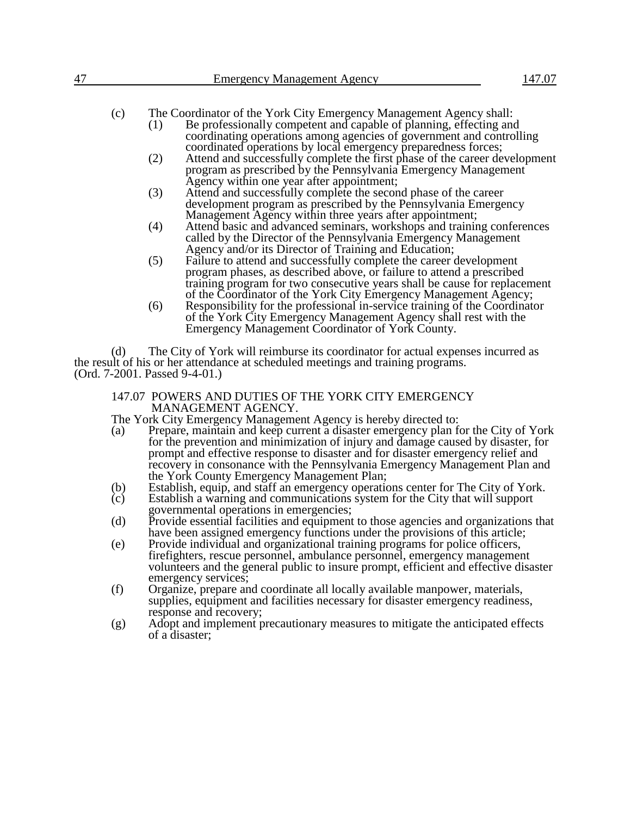(c) The Coordinator of the York City Emergency Management Agency shall:

- (1) Be professionally competent and capable of planning, effecting and coordinating operations among agencies of government and controlling coordinated operations by local emergency preparedness forces;
- (2) Attend and successfully complete the first phase of the career development program as prescribed by the Pennsylvania Emergency Management Agency within one year after appointment;
- (3) Attend and successfully complete the second phase of the career development program as prescribed by the Pennsylvania Emergency Management Agency within three years after appointment;
- (4) Attend basic and advanced seminars, workshops and training conferences called by the Director of the Pennsylvania Emergency Management Agency and/or its Director of Training and Education;
- (5) Failure to attend and successfully complete the career development program phases, as described above, or failure to attend a prescribed training program for two consecutive years shall be cause for replacement of the Coordinator of the York City Emergency Management Agency;
- (6) Responsibility for the professional in-service training of the Coordinator of the York City Emergency Management Agency shall rest with the Emergency Management Coordinator of York County.

(d) The City of York will reimburse its coordinator for actual expenses incurred as the result of his or her attendance at scheduled meetings and training programs. (Ord. 7-2001. Passed 9-4-01.)

# 147.07 POWERS AND DUTIES OF THE YORK CITY EMERGENCY MANAGEMENT AGENCY.

The York City Emergency Management Agency is hereby directed to:<br>(a) Prepare, maintain and keep current a disaster emergency plan for

- Prepare, maintain and keep current a disaster emergency plan for the City of York for the prevention and minimization of injury and damage caused by disaster, for prompt and effective response to disaster and for disaster emergency relief and recovery in consonance with the Pennsylvania Emergency Management Plan and the York County Emergency Management Plan;
- (b) Establish, equip, and staff an emergency operations center for The City of York.<br>(c) Establish a warning and communications system for the City that will support
- Establish a warning and communications system for the City that will support governmental operations in emergencies;
- (d) Provide essential facilities and equipment to those agencies and organizations that have been assigned emergency functions under the provisions of this article;
- (e) Provide individual and organizational training programs for police officers, firefighters, rescue personnel, ambulance personnel, emergency management volunteers and the general public to insure prompt, efficient and effective disaster emergency services;
- (f) Organize, prepare and coordinate all locally available manpower, materials, supplies, equipment and facilities necessary for disaster emergency readiness, response and recovery;
- (g) Adopt and implement precautionary measures to mitigate the anticipated effects of a disaster;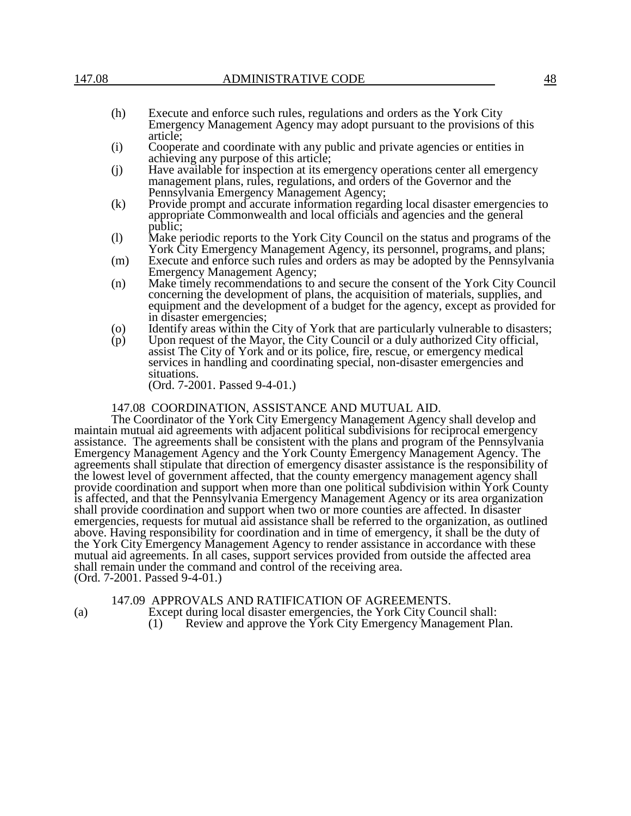- (h) Execute and enforce such rules, regulations and orders as the York City Emergency Management Agency may adopt pursuant to the provisions of this article;
- (i) Cooperate and coordinate with any public and private agencies or entities in achieving any purpose of this article;
- (j) Have available for inspection at its emergency operations center all emergency management plans, rules, regulations, and orders of the Governor and the Pennsylvania Emergency Management Agency;
- (k) Provide prompt and accurate information regarding local disaster emergencies to appropriate Commonwealth and local officials and agencies and the general public;
- (l) Make periodic reports to the York City Council on the status and programs of the York City Emergency Management Agency, its personnel, programs, and plans;
- (m) Execute and enforce such rules and orders as may be adopted by the Pennsylvania Emergency Management Agency;
- (n) Make timely recommendations to and secure the consent of the York City Council concerning the development of plans, the acquisition of materials, supplies, and equipment and the development of a budget for the agency, except as provided for in disaster emergencies;
- (o) Identify areas within the City of York that are particularly vulnerable to disasters;<br>(p) Upon request of the Mayor, the City Council or a duly authorized City official,
- Upon request of the Mayor, the City Council or a duly authorized City official, assist The City of York and or its police, fire, rescue, or emergency medical services in handling and coordinating special, non-disaster emergencies and situations.

(Ord. 7-2001. Passed 9-4-01.)

147.08 COORDINATION, ASSISTANCE AND MUTUAL AID.

The Coordinator of the York City Emergency Management Agency shall develop and maintain mutual aid agreements with adjacent political subdivisions for reciprocal emergency assistance. The agreements shall be consistent with the plans and program of the Pennsylvania Emergency Management Agency and the York County Emergency Management Agency. The agreements shall stipulate that direction of emergency disaster assistance is the responsibility of the lowest level of government affected, that the county emergency management agency shall provide coordination and support when more than one political subdivision within York County is affected, and that the Pennsylvania Emergency Management Agency or its area organization shall provide coordination and support when two or more counties are affected. In disaster emergencies, requests for mutual aid assistance shall be referred to the organization, as outlined above. Having responsibility for coordination and in time of emergency, it shall be the duty of the York City Emergency Management Agency to render assistance in accordance with these mutual aid agreements. In all cases, support services provided from outside the affected area shall remain under the command and control of the receiving area. (Ord. 7-2001. Passed 9-4-01.)

147.09 APPROVALS AND RATIFICATION OF AGREEMENTS.

(a) Except during local disaster emergencies, the York City Council shall: (1) Review and approve the York City Emergency Management Plan.